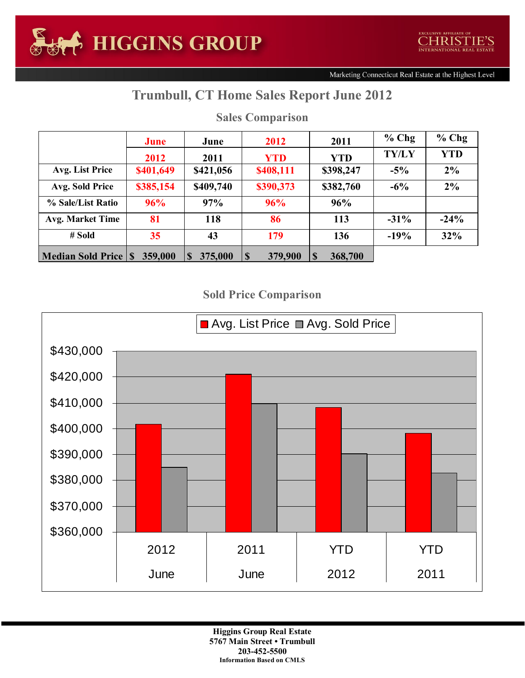## **Trumbull, CT Home Sales Report June 2012**

|                            | June      | June      | 2012<br>2011           |            | $%$ Chg      | $%$ Chg    |
|----------------------------|-----------|-----------|------------------------|------------|--------------|------------|
|                            | 2012      | 2011      | <b>YTD</b>             | <b>YTD</b> | <b>TY/LY</b> | <b>YTD</b> |
| Avg. List Price            | \$401,649 | \$421,056 | \$408,111              | \$398,247  | $-5\%$       | 2%         |
| Avg. Sold Price            | \$385,154 | \$409,740 | \$390,373              | \$382,760  | $-6\%$       | $2\%$      |
| % Sale/List Ratio          | 96%       | 97%       | 96%                    | 96%        |              |            |
| <b>Avg. Market Time</b>    | 81        | 118       | 86                     | 113        | $-31\%$      | $-24%$     |
| # Sold                     | 35        | 43        | 179                    | 136        | $-19%$       | 32%        |
| <b>Median Sold Price S</b> | 359,000   | 375,000   | $\mathbf S$<br>379,900 | 368,700    |              |            |

## **Sales Comparison**

## **Sold Price Comparison**